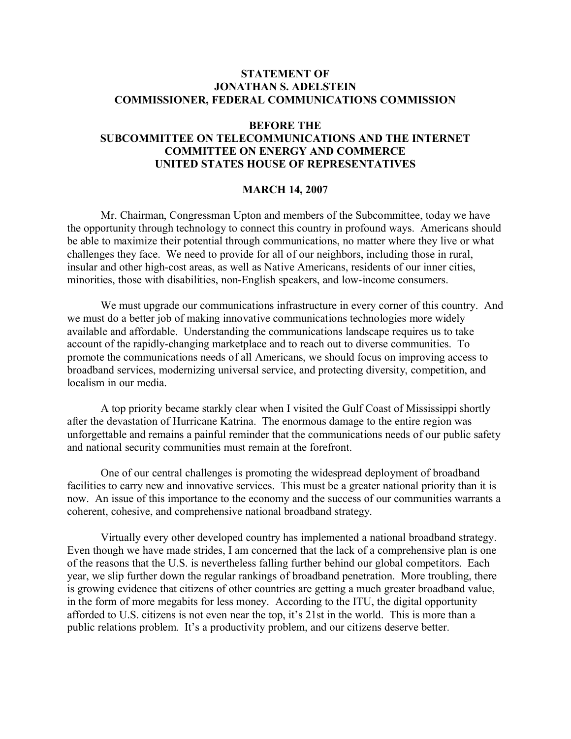## **STATEMENT OF JONATHAN S. ADELSTEIN COMMISSIONER, FEDERAL COMMUNICATIONS COMMISSION**

## **BEFORE THE**

## **SUBCOMMITTEE ON TELECOMMUNICATIONS AND THE INTERNET COMMITTEE ON ENERGY AND COMMERCE UNITED STATES HOUSE OF REPRESENTATIVES**

## **MARCH 14, 2007**

Mr. Chairman, Congressman Upton and members of the Subcommittee, today we have the opportunity through technology to connect this country in profound ways. Americans should be able to maximize their potential through communications, no matter where they live or what challenges they face. We need to provide for all of our neighbors, including those in rural, insular and other high-cost areas, as well as Native Americans, residents of our inner cities, minorities, those with disabilities, non-English speakers, and low-income consumers.

We must upgrade our communications infrastructure in every corner of this country. And we must do a better job of making innovative communications technologies more widely available and affordable. Understanding the communications landscape requires us to take account of the rapidly-changing marketplace and to reach out to diverse communities. To promote the communications needs of all Americans, we should focus on improving access to broadband services, modernizing universal service, and protecting diversity, competition, and localism in our media.

A top priority became starkly clear when I visited the Gulf Coast of Mississippi shortly after the devastation of Hurricane Katrina. The enormous damage to the entire region was unforgettable and remains a painful reminder that the communications needs of our public safety and national security communities must remain at the forefront.

One of our central challenges is promoting the widespread deployment of broadband facilities to carry new and innovative services. This must be a greater national priority than it is now. An issue of this importance to the economy and the success of our communities warrants a coherent, cohesive, and comprehensive national broadband strategy.

Virtually every other developed country has implemented a national broadband strategy. Even though we have made strides, I am concerned that the lack of a comprehensive plan is one of the reasons that the U.S. is nevertheless falling further behind our global competitors. Each year, we slip further down the regular rankings of broadband penetration. More troubling, there is growing evidence that citizens of other countries are getting a much greater broadband value, in the form of more megabits for less money. According to the ITU, the digital opportunity afforded to U.S. citizens is not even near the top, it's 21st in the world. This is more than a public relations problem. It's a productivity problem, and our citizens deserve better.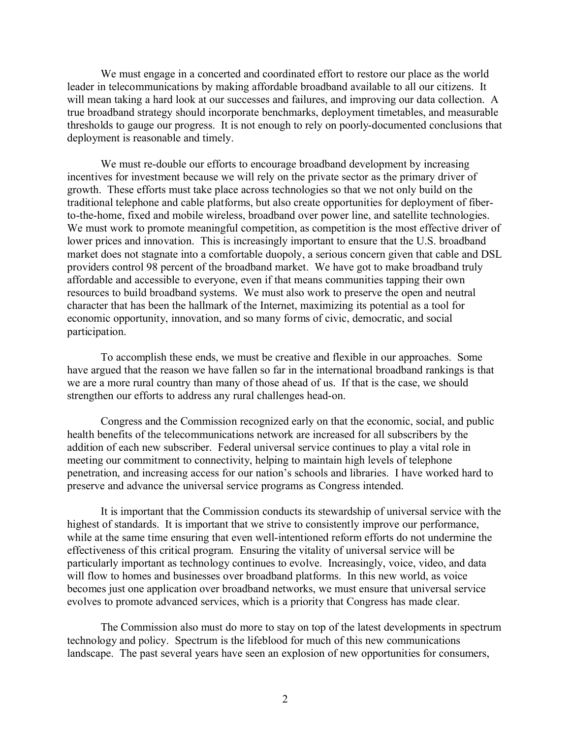We must engage in a concerted and coordinated effort to restore our place as the world leader in telecommunications by making affordable broadband available to all our citizens. It will mean taking a hard look at our successes and failures, and improving our data collection. A true broadband strategy should incorporate benchmarks, deployment timetables, and measurable thresholds to gauge our progress. It is not enough to rely on poorly-documented conclusions that deployment is reasonable and timely.

We must re-double our efforts to encourage broadband development by increasing incentives for investment because we will rely on the private sector as the primary driver of growth. These efforts must take place across technologies so that we not only build on the traditional telephone and cable platforms, but also create opportunities for deployment of fiberto-the-home, fixed and mobile wireless, broadband over power line, and satellite technologies. We must work to promote meaningful competition, as competition is the most effective driver of lower prices and innovation. This is increasingly important to ensure that the U.S. broadband market does not stagnate into a comfortable duopoly, a serious concern given that cable and DSL providers control 98 percent of the broadband market. We have got to make broadband truly affordable and accessible to everyone, even if that means communities tapping their own resources to build broadband systems. We must also work to preserve the open and neutral character that has been the hallmark of the Internet, maximizing its potential as a tool for economic opportunity, innovation, and so many forms of civic, democratic, and social participation.

To accomplish these ends, we must be creative and flexible in our approaches. Some have argued that the reason we have fallen so far in the international broadband rankings is that we are a more rural country than many of those ahead of us. If that is the case, we should strengthen our efforts to address any rural challenges head-on.

Congress and the Commission recognized early on that the economic, social, and public health benefits of the telecommunications network are increased for all subscribers by the addition of each new subscriber. Federal universal service continues to play a vital role in meeting our commitment to connectivity, helping to maintain high levels of telephone penetration, and increasing access for our nation's schools and libraries. I have worked hard to preserve and advance the universal service programs as Congress intended.

It is important that the Commission conducts its stewardship of universal service with the highest of standards. It is important that we strive to consistently improve our performance, while at the same time ensuring that even well-intentioned reform efforts do not undermine the effectiveness of this critical program. Ensuring the vitality of universal service will be particularly important as technology continues to evolve. Increasingly, voice, video, and data will flow to homes and businesses over broadband platforms. In this new world, as voice becomes just one application over broadband networks, we must ensure that universal service evolves to promote advanced services, which is a priority that Congress has made clear.

The Commission also must do more to stay on top of the latest developments in spectrum technology and policy. Spectrum is the lifeblood for much of this new communications landscape. The past several years have seen an explosion of new opportunities for consumers,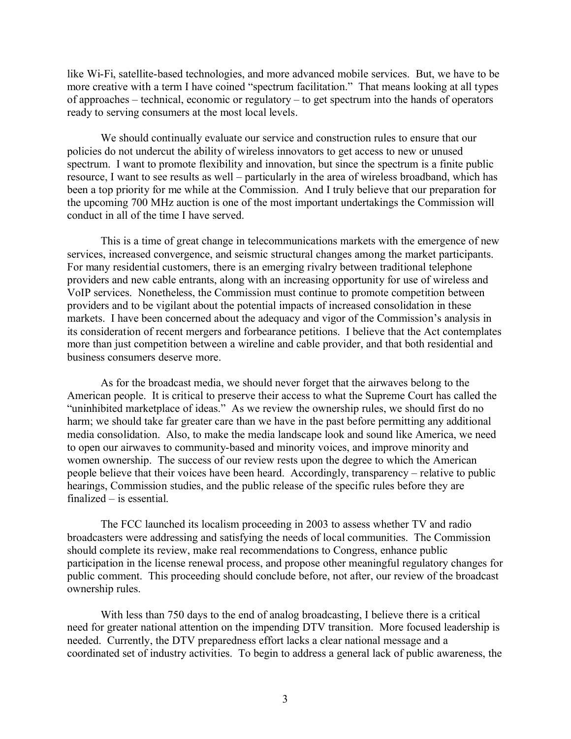like Wi-Fi, satellite-based technologies, and more advanced mobile services. But, we have to be more creative with a term I have coined "spectrum facilitation." That means looking at all types of approaches – technical, economic or regulatory – to get spectrum into the hands of operators ready to serving consumers at the most local levels.

We should continually evaluate our service and construction rules to ensure that our policies do not undercut the ability of wireless innovators to get access to new or unused spectrum. I want to promote flexibility and innovation, but since the spectrum is a finite public resource, I want to see results as well – particularly in the area of wireless broadband, which has been a top priority for me while at the Commission. And I truly believe that our preparation for the upcoming 700 MHz auction is one of the most important undertakings the Commission will conduct in all of the time I have served.

This is a time of great change in telecommunications markets with the emergence of new services, increased convergence, and seismic structural changes among the market participants. For many residential customers, there is an emerging rivalry between traditional telephone providers and new cable entrants, along with an increasing opportunity for use of wireless and VoIP services. Nonetheless, the Commission must continue to promote competition between providers and to be vigilant about the potential impacts of increased consolidation in these markets. I have been concerned about the adequacy and vigor of the Commission's analysis in its consideration of recent mergers and forbearance petitions. I believe that the Act contemplates more than just competition between a wireline and cable provider, and that both residential and business consumers deserve more.

As for the broadcast media, we should never forget that the airwaves belong to the American people. It is critical to preserve their access to what the Supreme Court has called the "uninhibited marketplace of ideas." As we review the ownership rules, we should first do no harm; we should take far greater care than we have in the past before permitting any additional media consolidation. Also, to make the media landscape look and sound like America, we need to open our airwaves to community-based and minority voices, and improve minority and women ownership. The success of our review rests upon the degree to which the American people believe that their voices have been heard. Accordingly, transparency – relative to public hearings, Commission studies, and the public release of the specific rules before they are finalized – is essential.

The FCC launched its localism proceeding in 2003 to assess whether TV and radio broadcasters were addressing and satisfying the needs of local communities. The Commission should complete its review, make real recommendations to Congress, enhance public participation in the license renewal process, and propose other meaningful regulatory changes for public comment. This proceeding should conclude before, not after, our review of the broadcast ownership rules.

With less than 750 days to the end of analog broadcasting, I believe there is a critical need for greater national attention on the impending DTV transition. More focused leadership is needed. Currently, the DTV preparedness effort lacks a clear national message and a coordinated set of industry activities. To begin to address a general lack of public awareness, the